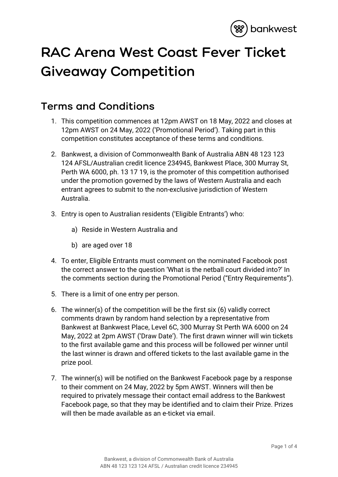

## **RAC Arena West Coast Fever Ticket Giveaway Competition**

## **Terms and Conditions**

- 1. This competition commences at 12pm AWST on 18 May, 2022 and closes at 12pm AWST on 24 May, 2022 ('Promotional Period'). Taking part in this competition constitutes acceptance of these terms and conditions.
- 2. Bankwest, a division of Commonwealth Bank of Australia ABN 48 123 123 124 AFSL/Australian credit licence 234945, Bankwest Place, 300 Murray St, Perth WA 6000, ph. 13 17 19, is the promoter of this competition authorised under the promotion governed by the laws of Western Australia and each entrant agrees to submit to the non-exclusive jurisdiction of Western Australia.
- 3. Entry is open to Australian residents ('Eligible Entrants') who:
	- a) Reside in Western Australia and
	- b) are aged over 18
- 4. To enter, Eligible Entrants must comment on the nominated Facebook post the correct answer to the question 'What is the netball court divided into?' In the comments section during the Promotional Period ("Entry Requirements").
- 5. There is a limit of one entry per person.
- 6. The winner(s) of the competition will be the first six (6) validly correct comments drawn by random hand selection by a representative from Bankwest at Bankwest Place, Level 6C, 300 Murray St Perth WA 6000 on 24 May, 2022 at 2pm AWST ('Draw Date'). The first drawn winner will win tickets to the first available game and this process will be followed per winner until the last winner is drawn and offered tickets to the last available game in the prize pool.
- 7. The winner(s) will be notified on the Bankwest Facebook page by a response to their comment on 24 May, 2022 by 5pm AWST. Winners will then be required to privately message their contact email address to the Bankwest Facebook page, so that they may be identified and to claim their Prize. Prizes will then be made available as an e-ticket via email.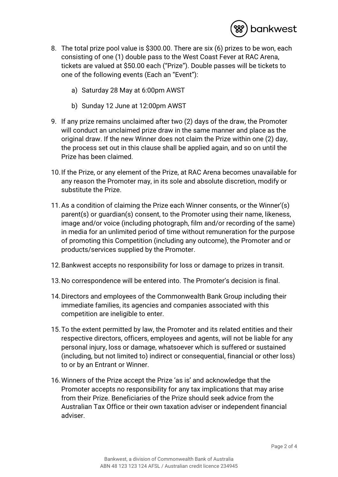

- 8. The total prize pool value is \$300.00. There are six (6) prizes to be won, each consisting of one (1) double pass to the West Coast Fever at RAC Arena, tickets are valued at \$50.00 each ("Prize"). Double passes will be tickets to one of the following events (Each an "Event"):
	- a) Saturday 28 May at 6:00pm AWST
	- b) Sunday 12 June at 12:00pm AWST
- 9. If any prize remains unclaimed after two (2) days of the draw, the Promoter will conduct an unclaimed prize draw in the same manner and place as the original draw. If the new Winner does not claim the Prize within one (2) day, the process set out in this clause shall be applied again, and so on until the Prize has been claimed.
- 10.If the Prize, or any element of the Prize, at RAC Arena becomes unavailable for any reason the Promoter may, in its sole and absolute discretion, modify or substitute the Prize.
- 11.As a condition of claiming the Prize each Winner consents, or the Winner'(s) parent(s) or guardian(s) consent, to the Promoter using their name, likeness, image and/or voice (including photograph, film and/or recording of the same) in media for an unlimited period of time without remuneration for the purpose of promoting this Competition (including any outcome), the Promoter and or products/services supplied by the Promoter.
- 12.Bankwest accepts no responsibility for loss or damage to prizes in transit.
- 13.No correspondence will be entered into. The Promoter's decision is final.
- 14.Directors and employees of the Commonwealth Bank Group including their immediate families, its agencies and companies associated with this competition are ineligible to enter.
- 15.To the extent permitted by law, the Promoter and its related entities and their respective directors, officers, employees and agents, will not be liable for any personal injury, loss or damage, whatsoever which is suffered or sustained (including, but not limited to) indirect or consequential, financial or other loss) to or by an Entrant or Winner.
- 16.Winners of the Prize accept the Prize 'as is' and acknowledge that the Promoter accepts no responsibility for any tax implications that may arise from their Prize. Beneficiaries of the Prize should seek advice from the Australian Tax Office or their own taxation adviser or independent financial adviser.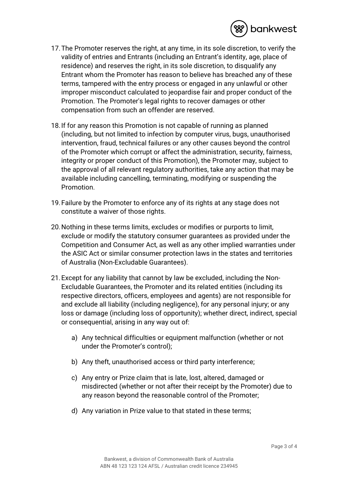

- 17.The Promoter reserves the right, at any time, in its sole discretion, to verify the validity of entries and Entrants (including an Entrant's identity, age, place of residence) and reserves the right, in its sole discretion, to disqualify any Entrant whom the Promoter has reason to believe has breached any of these terms, tampered with the entry process or engaged in any unlawful or other improper misconduct calculated to jeopardise fair and proper conduct of the Promotion. The Promoter's legal rights to recover damages or other compensation from such an offender are reserved.
- 18.If for any reason this Promotion is not capable of running as planned (including, but not limited to infection by computer virus, bugs, unauthorised intervention, fraud, technical failures or any other causes beyond the control of the Promoter which corrupt or affect the administration, security, fairness, integrity or proper conduct of this Promotion), the Promoter may, subject to the approval of all relevant regulatory authorities, take any action that may be available including cancelling, terminating, modifying or suspending the Promotion.
- 19.Failure by the Promoter to enforce any of its rights at any stage does not constitute a waiver of those rights.
- 20.Nothing in these terms limits, excludes or modifies or purports to limit, exclude or modify the statutory consumer guarantees as provided under the Competition and Consumer Act, as well as any other implied warranties under the ASIC Act or similar consumer protection laws in the states and territories of Australia (Non-Excludable Guarantees).
- 21.Except for any liability that cannot by law be excluded, including the Non-Excludable Guarantees, the Promoter and its related entities (including its respective directors, officers, employees and agents) are not responsible for and exclude all liability (including negligence), for any personal injury; or any loss or damage (including loss of opportunity); whether direct, indirect, special or consequential, arising in any way out of:
	- a) Any technical difficulties or equipment malfunction (whether or not under the Promoter's control);
	- b) Any theft, unauthorised access or third party interference;
	- c) Any entry or Prize claim that is late, lost, altered, damaged or misdirected (whether or not after their receipt by the Promoter) due to any reason beyond the reasonable control of the Promoter;
	- d) Any variation in Prize value to that stated in these terms;